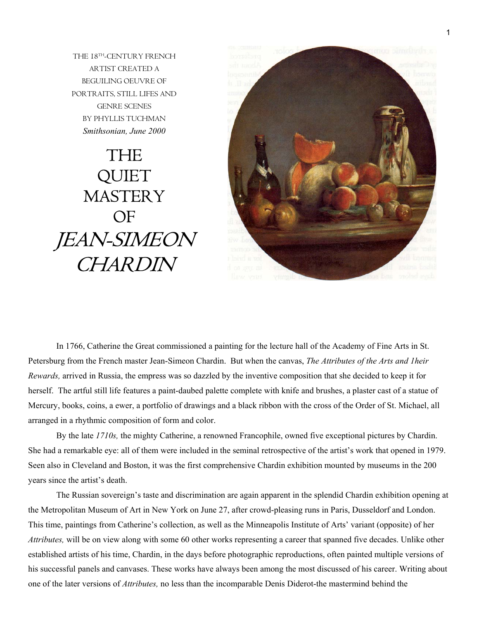THE 18TH-CENTURY FRENCH ARTIST CREATED A BEGUILING OEUVRE OF PORTRAITS, STILL LIFES AND GENRE SCENES BY PHYLLIS TUCHMAN *Smithsonian, June 2000* 

## THE QUIET **MASTERY** OF JEAN-SIMEON **CHARDIN**



In 1766, Catherine the Great commissioned a painting for the lecture hall of the Academy of Fine Arts in St. Petersburg from the French master Jean-Simeon Chardin. But when the canvas, *The Attributes of the Arts and 1heir Rewards,* arrived in Russia, the empress was so dazzled by the inventive composition that she decided to keep it for herself. The artful still life features a paint-daubed palette complete with knife and brushes, a plaster cast of a statue of Mercury, books, coins, a ewer, a portfolio of drawings and a black ribbon with the cross of the Order of St. Michael, all arranged in a rhythmic composition of form and color.

By the late *1710s,* the mighty Catherine, a renowned Francophile, owned five exceptional pictures by Chardin. She had a remarkable eye: all of them were included in the seminal retrospective of the artist's work that opened in 1979. Seen also in Cleveland and Boston, it was the first comprehensive Chardin exhibition mounted by museums in the 200 years since the artist's death.

The Russian sovereign's taste and discrimination are again apparent in the splendid Chardin exhibition opening at the Metropolitan Museum of Art in New York on June 27, after crowd-pleasing runs in Paris, Dusseldorf and London. This time, paintings from Catherine's collection, as well as the Minneapolis Institute of Arts' variant (opposite) of her *Attributes,* will be on view along with some 60 other works representing a career that spanned five decades. Unlike other established artists of his time, Chardin, in the days before photographic reproductions, often painted multiple versions of his successful panels and canvases. These works have always been among the most discussed of his career. Writing about one of the later versions of *Attributes,* no less than the incomparable Denis Diderot-the mastermind behind the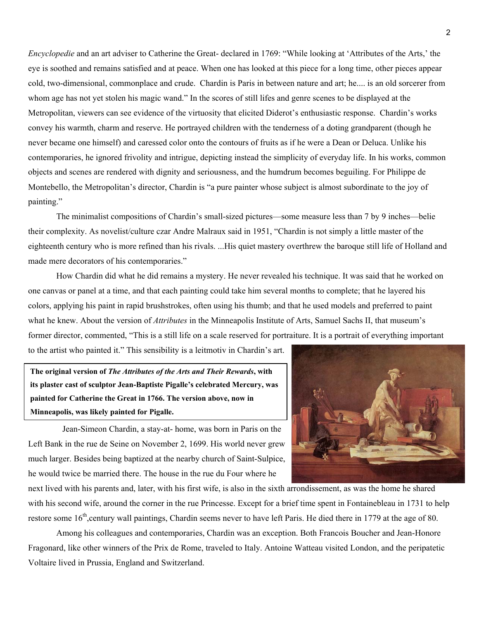*Encyclopedie* and an art adviser to Catherine the Great- declared in 1769: "While looking at 'Attributes of the Arts,' the eye is soothed and remains satisfied and at peace. When one has looked at this piece for a long time, other pieces appear cold, two-dimensional, commonplace and crude. Chardin is Paris in between nature and art; he.... is an old sorcerer from whom age has not yet stolen his magic wand." In the scores of still lifes and genre scenes to be displayed at the Metropolitan, viewers can see evidence of the virtuosity that elicited Diderot's enthusiastic response. Chardin's works convey his warmth, charm and reserve. He portrayed children with the tenderness of a doting grandparent (though he never became one himself) and caressed color onto the contours of fruits as if he were a Dean or Deluca. Unlike his contemporaries, he ignored frivolity and intrigue, depicting instead the simplicity of everyday life. In his works, common objects and scenes are rendered with dignity and seriousness, and the humdrum becomes beguiling. For Philippe de Montebello, the Metropolitan's director, Chardin is "a pure painter whose subject is almost subordinate to the joy of painting."

The minimalist compositions of Chardin's small-sized pictures—some measure less than 7 by 9 inches—belie their complexity. As novelist/culture czar Andre Malraux said in 1951, "Chardin is not simply a little master of the eighteenth century who is more refined than his rivals. ...His quiet mastery overthrew the baroque still life of Holland and made mere decorators of his contemporaries."

How Chardin did what he did remains a mystery. He never revealed his technique. It was said that he worked on one canvas or panel at a time, and that each painting could take him several months to complete; that he layered his colors, applying his paint in rapid brushstrokes, often using his thumb; and that he used models and preferred to paint what he knew. About the version of *Attributes* in the Minneapolis Institute of Arts, Samuel Sachs II, that museum's former director, commented, "This is a still life on a scale reserved for portraiture. It is a portrait of everything important to the artist who painted it." This sensibility is a leitmotiv in Chardin's art.

**The original version of** *The Attributes of the Arts and Their Rewards***, with its plaster cast of sculptor Jean-Baptiste Pigalle's celebrated Mercury, was painted for Catherine the Great in 1766. The version above, now in Minneapolis, was likely painted for Pigalle.** 

Jean-Simeon Chardin, a stay-at- home, was born in Paris on the Left Bank in the rue de Seine on November 2, 1699. His world never grew much larger. Besides being baptized at the nearby church of Saint-Sulpice, he would twice be married there. The house in the rue du Four where he



next lived with his parents and, later, with his first wife, is also in the sixth arrondissement, as was the home he shared with his second wife, around the corner in the rue Princesse. Except for a brief time spent in Fontainebleau in 1731 to help restore some 16<sup>th</sup>,century wall paintings, Chardin seems never to have left Paris. He died there in 1779 at the age of 80.

Among his colleagues and contemporaries, Chardin was an exception. Both Francois Boucher and Jean-Honore Fragonard, like other winners of the Prix de Rome, traveled to Italy. Antoine Watteau visited London, and the peripatetic Voltaire lived in Prussia, England and Switzerland.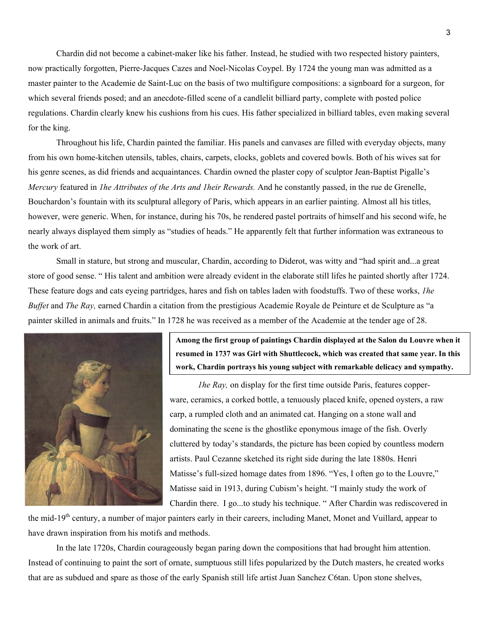Chardin did not become a cabinet-maker like his father. Instead, he studied with two respected history painters, now practically forgotten, Pierre-Jacques Cazes and Noel-Nicolas Coypel. By 1724 the young man was admitted as a master painter to the Academie de Saint-Luc on the basis of two multifigure compositions: a signboard for a surgeon, for which several friends posed; and an anecdote-filled scene of a candlelit billiard party, complete with posted police regulations. Chardin clearly knew his cushions from his cues. His father specialized in billiard tables, even making several for the king.

Throughout his life, Chardin painted the familiar. His panels and canvases are filled with everyday objects, many from his own home-kitchen utensils, tables, chairs, carpets, clocks, goblets and covered bowls. Both of his wives sat for his genre scenes, as did friends and acquaintances. Chardin owned the plaster copy of sculptor Jean-Baptist Pigalle's *Mercury* featured in *1he Attributes of the Arts and 1heir Rewards.* And he constantly passed, in the rue de Grenelle, Bouchardon's fountain with its sculptural allegory of Paris, which appears in an earlier painting. Almost all his titles, however, were generic. When, for instance, during his 70s, he rendered pastel portraits of himself and his second wife, he nearly always displayed them simply as "studies of heads." He apparently felt that further information was extraneous to the work of art.

Small in stature, but strong and muscular, Chardin, according to Diderot, was witty and "had spirit and...a great store of good sense. " His talent and ambition were already evident in the elaborate still lifes he painted shortly after 1724. These feature dogs and cats eyeing partridges, hares and fish on tables laden with foodstuffs. Two of these works, *1he Buffet* and *The Ray,* earned Chardin a citation from the prestigious Academie Royale de Peinture et de Sculpture as "a painter skilled in animals and fruits." In 1728 he was received as a member of the Academie at the tender age of 28.



**Among the first group of paintings Chardin displayed at the Salon du Louvre when it resumed in 1737 was Girl with Shuttlecock, which was created that same year. In this work, Chardin portrays his young subject with remarkable delicacy and sympathy.** 

*1he Ray,* on display for the first time outside Paris, features copperware, ceramics, a corked bottle, a tenuously placed knife, opened oysters, a raw carp, a rumpled cloth and an animated cat. Hanging on a stone wall and dominating the scene is the ghostlike eponymous image of the fish. Overly cluttered by today's standards, the picture has been copied by countless modern artists. Paul Cezanne sketched its right side during the late 1880s. Henri Matisse's full-sized homage dates from 1896. "Yes, I often go to the Louvre," Matisse said in 1913, during Cubism's height. "I mainly study the work of Chardin there. I go...to study his technique. " After Chardin was rediscovered in

the mid-19<sup>th</sup> century, a number of major painters early in their careers, including Manet, Monet and Vuillard, appear to have drawn inspiration from his motifs and methods.

In the late 1720s, Chardin courageously began paring down the compositions that had brought him attention. Instead of continuing to paint the sort of ornate, sumptuous still lifes popularized by the Dutch masters, he created works that are as subdued and spare as those of the early Spanish still life artist Juan Sanchez C6tan. Upon stone shelves,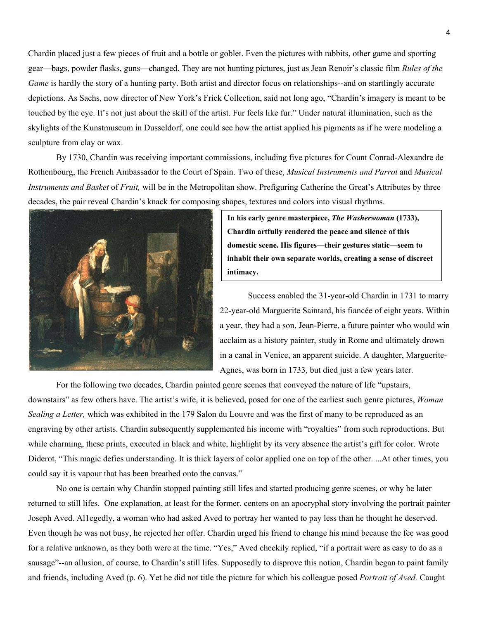Chardin placed just a few pieces of fruit and a bottle or goblet. Even the pictures with rabbits, other game and sporting gear—bags, powder flasks, guns—changed. They are not hunting pictures, just as Jean Renoir's classic film *Rules of the Game* is hardly the story of a hunting party. Both artist and director focus on relationships--and on startlingly accurate depictions. As Sachs, now director of New York's Frick Collection, said not long ago, "Chardin's imagery is meant to be touched by the eye. It's not just about the skill of the artist. Fur feels like fur." Under natural illumination, such as the skylights of the Kunstmuseum in Dusseldorf, one could see how the artist applied his pigments as if he were modeling a sculpture from clay or wax.

By 1730, Chardin was receiving important commissions, including five pictures for Count Conrad-Alexandre de Rothenbourg, the French Ambassador to the Court of Spain. Two of these, *Musical Instruments and Parrot* and *Musical Instruments and Basket* of *Fruit,* will be in the Metropolitan show. Prefiguring Catherine the Great's Attributes by three decades, the pair reveal Chardin's knack for composing shapes, textures and colors into visual rhythms.



**In his early genre masterpiece,** *The Washerwoman* **(1733), Chardin artfully rendered the peace and silence of this domestic scene. His figures—their gestures static—seem to inhabit their own separate worlds, creating a sense of discreet intimacy.** 

Success enabled the 31-year-old Chardin in 1731 to marry 22-year-old Marguerite Saintard, his fiancée of eight years. Within a year, they had a son, Jean-Pierre, a future painter who would win acclaim as a history painter, study in Rome and ultimately drown in a canal in Venice, an apparent suicide. A daughter, Marguerite-Agnes, was born in 1733, but died just a few years later.

For the following two decades, Chardin painted genre scenes that conveyed the nature of life "upstairs, downstairs" as few others have. The artist's wife, it is believed, posed for one of the earliest such genre pictures, *Woman Sealing a Letter,* which was exhibited in the 179 Salon du Louvre and was the first of many to be reproduced as an engraving by other artists. Chardin subsequently supplemented his income with "royalties" from such reproductions. But while charming, these prints, executed in black and white, highlight by its very absence the artist's gift for color. Wrote Diderot, "This magic defies understanding. It is thick layers of color applied one on top of the other. ...At other times, you could say it is vapour that has been breathed onto the canvas."

No one is certain why Chardin stopped painting still lifes and started producing genre scenes, or why he later returned to still lifes. One explanation, at least for the former, centers on an apocryphal story involving the portrait painter Joseph Aved. Al1egedly, a woman who had asked Aved to portray her wanted to pay less than he thought he deserved. Even though he was not busy, he rejected her offer. Chardin urged his friend to change his mind because the fee was good for a relative unknown, as they both were at the time. "Yes," Aved cheekily replied, "if a portrait were as easy to do as a sausage"--an allusion, of course, to Chardin's still lifes. Supposedly to disprove this notion, Chardin began to paint family and friends, including Aved (p. 6). Yet he did not title the picture for which his colleague posed *Portrait of Aved.* Caught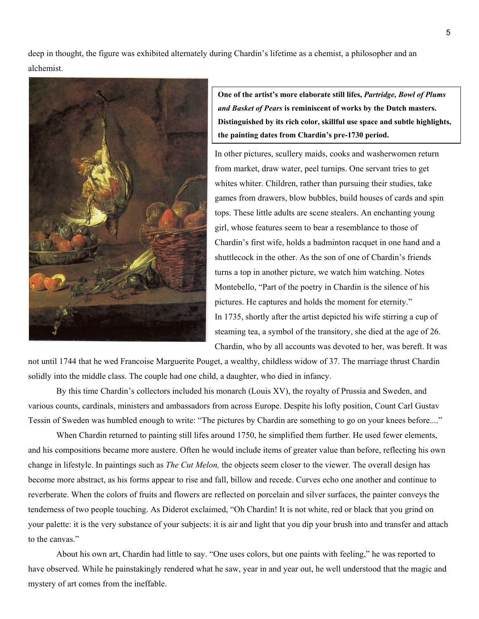deep in thought, the figure was exhibited alternately during Chardin's lifetime as a chemist, a philosopher and an alchemist.



**One of the artist's more elaborate still lifes,** *Partridge, Bowl of Plums and Basket of Pears* **is reminiscent of works by the Dutch masters. Distinguished by its rich color, skillful use space and subtle highlights, the painting dates from Chardin's pre-1730 period.** 

In other pictures, scullery maids, cooks and washerwomen return from market, draw water, peel turnips. One servant tries to get whites whiter. Children, rather than pursuing their studies, take games from drawers, blow bubbles, build houses of cards and spin tops. These little adults are scene stealers. An enchanting young girl, whose features seem to bear a resemblance to those of Chardin's first wife, holds a badminton racquet in one hand and a shuttlecock in the other. As the son of one of Chardin's friends turns a top in another picture, we watch him watching. Notes Montebello, "Part of the poetry in Chardin is the silence of his pictures. He captures and holds the moment for eternity." In 1735, shortly after the artist depicted his wife stirring a cup of steaming tea, a symbol of the transitory, she died at the age of 26. Chardin, who by all accounts was devoted to her, was bereft. It was

not until 1744 that he wed Francoise Marguerite Pouget, a wealthy, childless widow of 37. The marriage thrust Chardin solidly into the middle class. The couple had one child, a daughter, who died in infancy.

By this time Chardin's collectors included his monarch (Louis XV), the royalty of Prussia and Sweden, and various counts, cardinals, ministers and ambassadors from across Europe. Despite his lofty position, Count Carl Gustav Tessin of Sweden was humbled enough to write: "The pictures by Chardin are something to go on your knees before...."

When Chardin returned to painting still lifes around 1750, he simplified them further. He used fewer elements, and his compositions became more austere. Often he would include items of greater value than before, reflecting his own change in lifestyle. In paintings such as *The Cut Melon,* the objects seem closer to the viewer. The overall design has become more abstract, as his forms appear to rise and fall, billow and recede. Curves echo one another and continue to reverberate. When the colors of fruits and flowers are reflected on porcelain and silver surfaces, the painter conveys the tenderness of two people touching. As Diderot exclaimed, "Oh Chardin! It is not white, red or black that you grind on your palette: it is the very substance of your subjects: it is air and light that you dip your brush into and transfer and attach to the canvas."

About his own art, Chardin had little to say. "One uses colors, but one paints with feeling," he was reported to have observed. While he painstakingly rendered what he saw, year in and year out, he well understood that the magic and mystery of art comes from the ineffable.